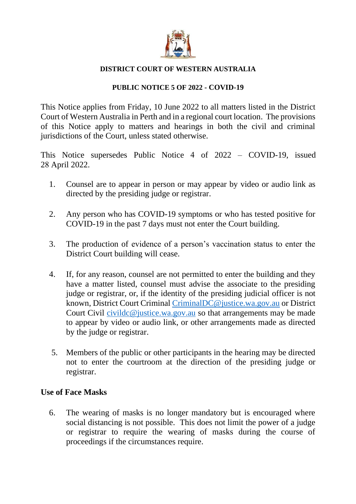

### **DISTRICT COURT OF WESTERN AUSTRALIA**

## **PUBLIC NOTICE 5 OF 2022 - COVID-19**

This Notice applies from Friday, 10 June 2022 to all matters listed in the District Court of Western Australia in Perth and in a regional court location. The provisions of this Notice apply to matters and hearings in both the civil and criminal jurisdictions of the Court, unless stated otherwise.

This Notice supersedes Public Notice 4 of 2022 – COVID-19, issued 28 April 2022.

- 1. Counsel are to appear in person or may appear by video or audio link as directed by the presiding judge or registrar.
- 2. Any person who has COVID-19 symptoms or who has tested positive for COVID-19 in the past 7 days must not enter the Court building.
- 3. The production of evidence of a person's vaccination status to enter the District Court building will cease.
- 4. If, for any reason, counsel are not permitted to enter the building and they have a matter listed, counsel must advise the associate to the presiding judge or registrar, or, if the identity of the presiding judicial officer is not known, District Court Criminal [CriminalDC@justice.wa.gov.au](mailto:CriminalDC@justice.wa.gov.au) or District Court Civil civilde@justice.wa.gov.au so that arrangements may be made to appear by video or audio link, or other arrangements made as directed by the judge or registrar.
- 5. Members of the public or other participants in the hearing may be directed not to enter the courtroom at the direction of the presiding judge or registrar.

## **Use of Face Masks**

6. The wearing of masks is no longer mandatory but is encouraged where social distancing is not possible. This does not limit the power of a judge or registrar to require the wearing of masks during the course of proceedings if the circumstances require.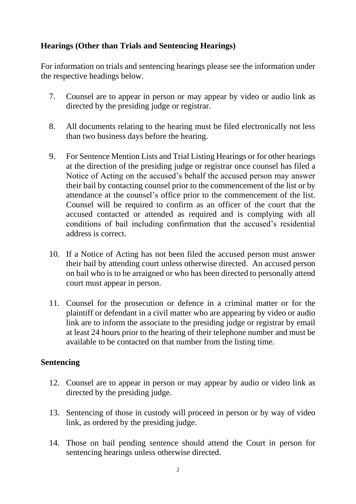## **Hearings (Other than Trials and Sentencing Hearings)**

For information on trials and sentencing hearings please see the information under the respective headings below.

- 7. Counsel are to appear in person or may appear by video or audio link as directed by the presiding judge or registrar.
- 8. All documents relating to the hearing must be filed electronically not less than two business days before the hearing.
- 9. For Sentence Mention Lists and Trial Listing Hearings or for other hearings at the direction of the presiding judge or registrar once counsel has filed a Notice of Acting on the accused's behalf the accused person may answer their bail by contacting counsel prior to the commencement of the list or by attendance at the counsel's office prior to the commencement of the list. Counsel will be required to confirm as an officer of the court that the accused contacted or attended as required and is complying with all conditions of bail including confirmation that the accused's residential address is correct.
- 10. If a Notice of Acting has not been filed the accused person must answer their bail by attending court unless otherwise directed. An accused person on bail who is to be arraigned or who has been directed to personally attend court must appear in person.
- 11. Counsel for the prosecution or defence in a criminal matter or for the plaintiff or defendant in a civil matter who are appearing by video or audio link are to inform the associate to the presiding judge or registrar by email at least 24 hours prior to the hearing of their telephone number and must be available to be contacted on that number from the listing time.

#### **Sentencing**

- 12. Counsel are to appear in person or may appear by audio or video link as directed by the presiding judge.
- 13. Sentencing of those in custody will proceed in person or by way of video link, as ordered by the presiding judge.
- 14. Those on bail pending sentence should attend the Court in person for sentencing hearings unless otherwise directed.